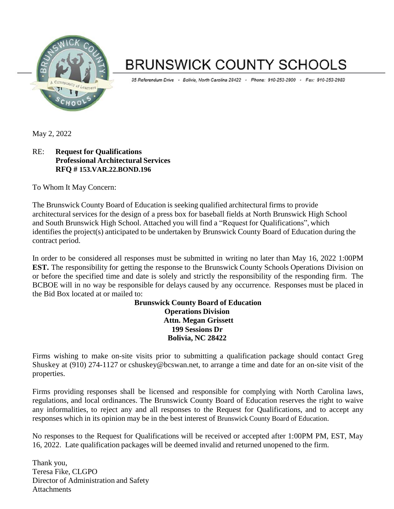

# **BRUNSWICK COUNTY SCHOOLS**

35 Referendum Drive · Bolivia, North Carolina 28422 · Phone: 910-253-2900 · Fax: 910-253-2983

May 2, 2022

# RE: **Request for Qualifications Professional Architectural Services RFQ # 153.VAR.22.BOND.196**

To Whom It May Concern:

The Brunswick County Board of Education is seeking qualified architectural firms to provide architectural services for the design of a press box for baseball fields at North Brunswick High School and South Brunswick High School. Attached you will find a "Request for Qualifications", which identifies the project(s) anticipated to be undertaken by Brunswick County Board of Education during the contract period.

In order to be considered all responses must be submitted in writing no later than May 16, 2022 1:00PM **EST.** The responsibility for getting the response to the Brunswick County Schools Operations Division on or before the specified time and date is solely and strictly the responsibility of the responding firm. The BCBOE will in no way be responsible for delays caused by any occurrence. Responses must be placed in the Bid Box located at or mailed to:

**Brunswick County Board of Education Operations Division Attn. Megan Grissett 199 Sessions Dr Bolivia, NC 28422**

Firms wishing to make on-site visits prior to submitting a qualification package should contact Greg Shuskey at (910) 274-1127 or cshuskey@bcswan.net, to arrange a time and date for an on-site visit of the properties.

Firms providing responses shall be licensed and responsible for complying with North Carolina laws, regulations, and local ordinances. The Brunswick County Board of Education reserves the right to waive any informalities, to reject any and all responses to the Request for Qualifications, and to accept any responses which in its opinion may be in the best interest of Brunswick County Board of Education.

No responses to the Request for Qualifications will be received or accepted after 1:00PM PM, EST, May 16, 2022. Late qualification packages will be deemed invalid and returned unopened to the firm.

Thank you, Teresa Fike, CLGPO Director of Administration and Safety **Attachments**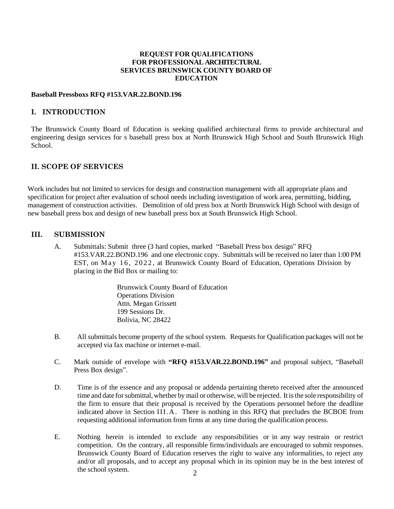#### **REQUEST FOR QUALIFICATIONS FOR PROFESSIONAL ARCHITECTURAL SERVICES BRUNSWICK COUNTY BOARD OF EDUCATION**

#### **Baseball Pressboxs RFQ #153.VAR.22.BOND.196**

#### **I. INTRODUCTION**

The Brunswick County Board of Education is seeking qualified architectural firms to provide architectural and engineering design services for s baseball press box at North Brunswick High School and South Brunswick High School.

## **II. SCOPE OF SERVICES**

Work includes but not limited to services for design and construction management with all appropriate plans and specification for project after evaluation of school needs including investigation of work area, permitting, bidding, management of construction activities. Demolition of old press box at North Brunswick High School with design of new baseball press box and design of new baseball press box at South Brunswick High School.

#### **III. SUBMISSION**

A. Submittals: Submit three (3 hard copies, marked "Baseball Press box design" RFQ #153.VAR.22.BOND.196 and one electronic copy. Submittals will be received no later than 1:00 PM EST, on May 16, 2022, at Brunswick County Board of Education, Operations Division by placing in the Bid Box or mailing to:

> Brunswick County Board of Education Operations Division Attn. Megan Grissett 199 Sessions Dr. Bolivia, NC 28422

- B. All submittals become property of the school system. Requests for Qualification packages will not be accepted via fax machine or internet e-mail.
- C. Mark outside of envelope with **"RFQ #153.VAR.22.BOND.196"** and proposal subject, "Baseball Press Box design".
- D. Time is of the essence and any proposal or addenda pertaining thereto received after the announced time and date for submittal, whether by mail or otherwise, will be rejected. It is the sole responsibility of the firm to ensure that their proposal is received by the Operations personnel before the deadline indicated above in Section III. A. There is nothing in this RFQ that precludes the BCBOE from requesting additional information from firms at any time during the qualification process.
- E. Nothing herein is intended to exclude any responsibilities or in any way restrain or restrict competition. On the contrary, all responsible firms/individuals are encouraged to submit responses. Brunswick County Board of Education reserves the right to waive any informalities, to reject any and/or all proposals, and to accept any proposal which in its opinion may be in the best interest of the school system.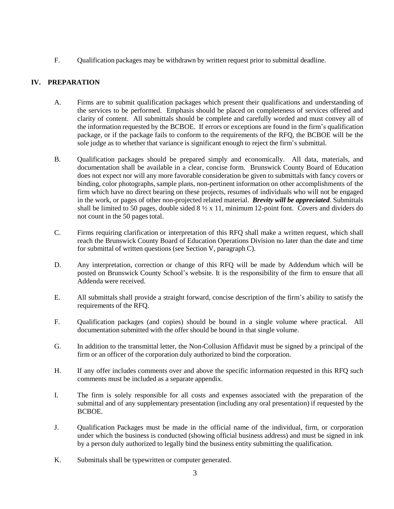F. Qualification packages may be withdrawn by written request prior to submittal deadline.

# **IV. PREPARATION**

- A. Firms are to submit qualification packages which present their qualifications and understanding of the services to be performed. Emphasis should be placed on completeness of services offered and clarity of content. All submittals should be complete and carefully worded and must convey all of the information requested by the BCBOE. If errors or exceptions are found in the firm's qualification package, or if the package fails to conform to the requirements of the RFQ, the BCBOE will be the sole judge as to whether that variance is significant enough to reject the firm's submittal.
- B. Qualification packages should be prepared simply and economically. All data, materials, and documentation shall be available in a clear, concise form. Brunswick County Board of Education does not expect nor will any more favorable consideration be given to submittals with fancy covers or binding, color photographs, sample plans, non-pertinent information on other accomplishments of the firm which have no direct bearing on these projects, resumes of individuals who will not be engaged in the work, or pages of other non-projected related material. *Brevity will be appreciated*. Submittals shall be limited to 50 pages, double sided  $8\frac{1}{2} \times 11$ , minimum 12-point font. Covers and dividers do not count in the 50 pages total.
- C. Firms requiring clarification or interpretation of this RFQ shall make a written request, which shall reach the Brunswick County Board of Education Operations Division no later than the date and time for submittal of written questions (see Section V, paragraph C).
- D. Any interpretation, correction or change of this RFQ will be made by Addendum which will be posted on Brunswick County School's website. It is the responsibility of the firm to ensure that all Addenda were received.
- E. All submittals shall provide a straight forward, concise description of the firm's ability to satisfy the requirements of the RFQ.
- F. Qualification packages (and copies) should be bound in a single volume where practical. All documentation submitted with the offer should be bound in that single volume.
- G. In addition to the transmittal letter, the Non-Collusion Affidavit must be signed by a principal of the firm or an officer of the corporation duly authorized to bind the corporation.
- H. If any offer includes comments over and above the specific information requested in this RFQ such comments must be included as a separate appendix.
- I. The firm is solely responsible for all costs and expenses associated with the preparation of the submittal and of any supplementary presentation (including any oral presentation) if requested by the BCBOE.
- J. Qualification Packages must be made in the official name of the individual, firm, or corporation under which the business is conducted (showing official business address) and must be signed in ink by a person duly authorized to legally bind the business entity submitting the qualification.
- K. Submittals shall be typewritten or computer generated.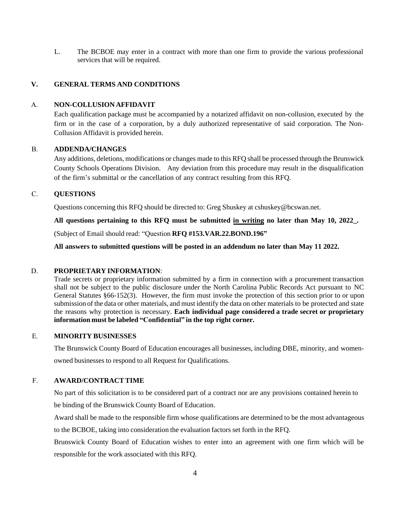L. The BCBOE may enter in a contract with more than one firm to provide the various professional services that will be required.

#### **V. GENERAL TERMS AND CONDITIONS**

#### A. **NON-COLLUSION AFFIDAVIT**

Each qualification package must be accompanied by a notarized affidavit on non-collusion, executed by the firm or in the case of a corporation, by a duly authorized representative of said corporation. The Non-Collusion Affidavit is provided herein.

#### B. **ADDENDA/CHANGES**

Any additions, deletions, modifications or changes made to this RFQ shall be processed through the Brunswick County Schools Operations Division. Any deviation from this procedure may result in the disqualification of the firm's submittal or the cancellation of any contract resulting from this RFQ.

#### C. **QUESTIONS**

Questions concerning this RFQ should be directed to: Greg Shuskey at cshuskey@bcswan.net.

**All questions pertaining to this RFQ must be submitted in writing no later than May 10, 2022\_.**

(Subject of Email should read: "Question **RFQ #153.VAR.22.BOND.196"**

**All answers to submitted questions will be posted in an addendum no later than May 11 2022.**

#### D. **PROPRIETARY INFORMATION**:

Trade secrets or proprietary information submitted by a firm in connection with a procurement transaction shall not be subject to the public disclosure under the North Carolina Public Records Act pursuant to NC General Statutes §66-152(3). However, the firm must invoke the protection of this section prior to or upon submission of the data or other materials, and must identify the data on other materials to be protected and state the reasons why protection is necessary. **Each individual page considered a trade secret or proprietary information must be labeled "Confidential" in the top right corner.**

# E. **MINORITY BUSINESSES**

The Brunswick County Board of Education encourages all businesses, including DBE, minority, and womenowned businesses to respond to all Request for Qualifications.

#### F. **AWARD/CONTRACT TIME**

No part of this solicitation is to be considered part of a contract nor are any provisions contained herein to be binding of the Brunswick County Board of Education.

Award shall be made to the responsible firm whose qualifications are determined to be the most advantageous to the BCBOE, taking into consideration the evaluation factors set forth in the RFQ.

Brunswick County Board of Education wishes to enter into an agreement with one firm which will be responsible for the work associated with this RFQ.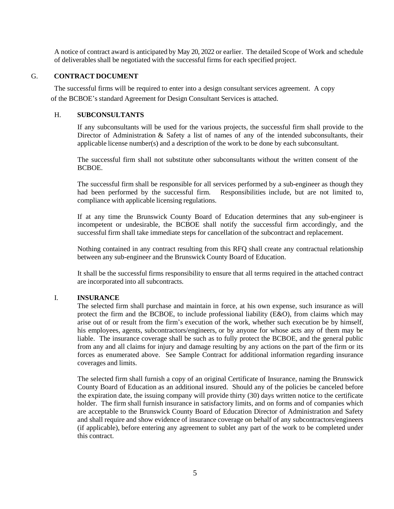A notice of contract award is anticipated by May 20, 2022 or earlier. The detailed Scope of Work and schedule of deliverables shall be negotiated with the successful firms for each specified project.

#### G. **CONTRACT DOCUMENT**

The successful firms will be required to enter into a design consultant services agreement. A copy of the BCBOE's standard Agreement for Design Consultant Services is attached.

#### H. **SUBCONSULTANTS**

If any subconsultants will be used for the various projects, the successful firm shall provide to the Director of Administration & Safety a list of names of any of the intended subconsultants, their applicable license number(s) and a description of the work to be done by each subconsultant.

The successful firm shall not substitute other subconsultants without the written consent of the BCBOE.

The successful firm shall be responsible for all services performed by a sub-engineer as though they had been performed by the successful firm. Responsibilities include, but are not limited to, compliance with applicable licensing regulations.

If at any time the Brunswick County Board of Education determines that any sub-engineer is incompetent or undesirable, the BCBOE shall notify the successful firm accordingly, and the successful firm shall take immediate steps for cancellation of the subcontract and replacement.

Nothing contained in any contract resulting from this RFQ shall create any contractual relationship between any sub-engineer and the Brunswick County Board of Education.

It shall be the successful firms responsibility to ensure that all terms required in the attached contract are incorporated into all subcontracts.

#### I. **INSURANCE**

The selected firm shall purchase and maintain in force, at his own expense, such insurance as will protect the firm and the BCBOE, to include professional liability (E&O), from claims which may arise out of or result from the firm's execution of the work, whether such execution be by himself, his employees, agents, subcontractors/engineers, or by anyone for whose acts any of them may be liable. The insurance coverage shall be such as to fully protect the BCBOE, and the general public from any and all claims for injury and damage resulting by any actions on the part of the firm or its forces as enumerated above. See Sample Contract for additional information regarding insurance coverages and limits.

The selected firm shall furnish a copy of an original Certificate of Insurance, naming the Brunswick County Board of Education as an additional insured. Should any of the policies be canceled before the expiration date, the issuing company will provide thirty (30) days written notice to the certificate holder. The firm shall furnish insurance in satisfactory limits, and on forms and of companies which are acceptable to the Brunswick County Board of Education Director of Administration and Safety and shall require and show evidence of insurance coverage on behalf of any subcontractors/engineers (if applicable), before entering any agreement to sublet any part of the work to be completed under this contract.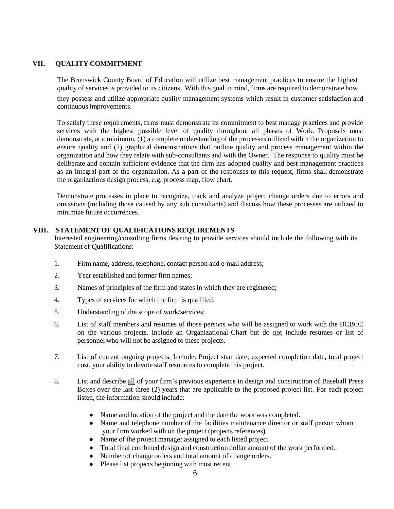# **VII. QUALITY COMMITMENT**

The Brunswick County Board of Education will utilize best management practices to ensure the highest quality of services is provided to its citizens. With this goal in mind, firms are required to demonstrate how they possess and utilize appropriate quality management systems which result in customer satisfaction and continuous improvements.

To satisfy these requirements, firms must demonstrate its commitment to best manage practices and provide services with the highest possible level of quality throughout all phases of Work. Proposals must demonstrate, at a minimum, (1) a complete understanding of the processes utilized within the organization to ensure quality and (2) graphical demonstrations that outline quality and process management within the organization and how they relate with sub-consultants and with the Owner. The response to quality must be deliberate and contain sufficient evidence that the firm has adopted quality and best management practices as an integral part of the organization. As a part of the responses to this request, firms shall demonstrate the organizations design process, e.g. process map, flow chart.

Demonstrate processes in place to recognize, track and analyze project change orders due to errors and omissions (including those caused by any sub consultants) and discuss how these processes are utilized to minimize future occurrences.

## **VIII. STATEMENT OF QUALIFICATIONS REQUIREMENTS**

Interested engineering/consulting firms desiring to provide services should include the following with its Statement of Qualifications:

- 1. Firm name, address, telephone, contact person and e-mail address;
- 2. Year established and former firm names;
- 3. Names of principles of the firm and states in which they are registered;
- 4. Types of services for which the firm is qualified;
- 5. Understanding of the scope of work/services;
- 6. List of staff members and resumes of those persons who will be assigned to work with the BCBOE on the various projects. Include an Organizational Chart but do not include resumes or list of personnel who will not be assigned to these projects.
- 7. List of current ongoing projects. Include: Project start date; expected completion date, total project cost, your ability to devote staff resources to complete this project.
- 8. List and describe all of your firm's previous experience in design and construction of Baseball Press Boxes over the last three (2) years that are applicable to the proposed project list. For each project listed, the information should include:
	- Name and location of the project and the date the work was completed.
	- Name and telephone number of the facilities maintenance director or staff person whom your firm worked with on the project (projects references).
	- Name of the project manager assigned to each listed project.
	- Total final combined design and construction dollar amount of the work performed.
	- Number of change orders and total amount of change orders.
	- Please list projects beginning with most recent.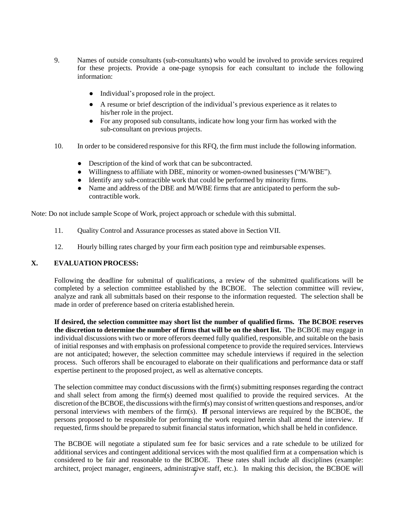- 9. Names of outside consultants (sub-consultants) who would be involved to provide services required for these projects. Provide a one-page synopsis for each consultant to include the following information:
	- Individual's proposed role in the project.
	- A resume or brief description of the individual's previous experience as it relates to his/her role in the project.
	- For any proposed sub consultants, indicate how long your firm has worked with the sub-consultant on previous projects.
- 10. In order to be considered responsive for this RFQ, the firm must include the following information.
	- Description of the kind of work that can be subcontracted.
	- Willingness to affiliate with DBE, minority or women-owned businesses ("M/WBE").
	- Identify any sub-contractible work that could be performed by minority firms.
	- Name and address of the DBE and M/WBE firms that are anticipated to perform the subcontractible work.

Note: Do not include sample Scope of Work, project approach or schedule with this submittal.

- 11. Quality Control and Assurance processes as stated above in Section VII.
- 12. Hourly billing rates charged by your firm each position type and reimbursable expenses.

#### **X. EVALUATION PROCESS:**

Following the deadline for submittal of qualifications, a review of the submitted qualifications will be completed by a selection committee established by the BCBOE. The selection committee will review, analyze and rank all submittals based on their response to the information requested. The selection shall be made in order of preference based on criteria established herein.

**If desired, the selection committee may short list the number of qualified firms. The BCBOE reserves the discretion to determine the number of firms that will be on the short list.** The BCBOE may engage in individual discussions with two or more offerors deemed fully qualified, responsible, and suitable on the basis of initial responses and with emphasis on professional competence to provide the required services. Interviews are not anticipated; however, the selection committee may schedule interviews if required in the selection process. Such offerors shall be encouraged to elaborate on their qualifications and performance data or staff expertise pertinent to the proposed project, as well as alternative concepts.

The selection committee may conduct discussions with the firm(s) submitting responsesregarding the contract and shall select from among the firm(s) deemed most qualified to provide the required services. At the discretion of the BCBOE, the discussions with the firm(s) may consist of written questions and responses, and/or personal interviews with members of the firm(s). **If** personal interviews are required by the BCBOE, the persons proposed to be responsible for performing the work required herein shall attend the interview. If requested, firms should be prepared to submit financial status information, which shall be held in confidence.

architect, project manager, engineers, administrative staff, etc.). In making this decision, the BCBOE will The BCBOE will negotiate a stipulated sum fee for basic services and a rate schedule to be utilized for additional services and contingent additional services with the most qualified firm at a compensation which is considered to be fair and reasonable to the BCBOE. These rates shall include all disciplines (example: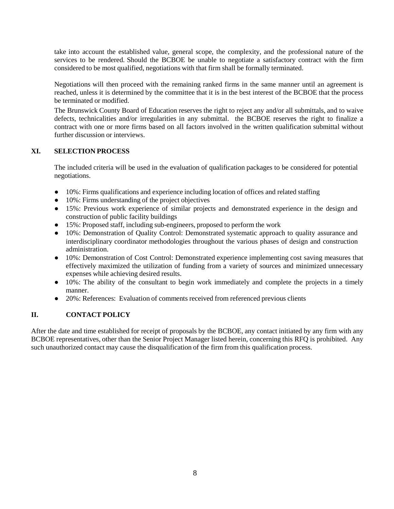take into account the established value, general scope, the complexity, and the professional nature of the services to be rendered. Should the BCBOE be unable to negotiate a satisfactory contract with the firm considered to be most qualified, negotiations with that firm shall be formally terminated.

Negotiations will then proceed with the remaining ranked firms in the same manner until an agreement is reached, unless it is determined by the committee that it is in the best interest of the BCBOE that the process be terminated or modified.

The Brunswick County Board of Education reserves the right to reject any and/or all submittals, and to waive defects, technicalities and/or irregularities in any submittal. the BCBOE reserves the right to finalize a contract with one or more firms based on all factors involved in the written qualification submittal without further discussion or interviews.

## **XI. SELECTION PROCESS**

The included criteria will be used in the evaluation of qualification packages to be considered for potential negotiations.

- 10%: Firms qualifications and experience including location of offices and related staffing
- 10%: Firms understanding of the project objectives
- 15%: Previous work experience of similar projects and demonstrated experience in the design and construction of public facility buildings
- 15%: Proposed staff, including sub-engineers, proposed to perform the work
- 10%: Demonstration of Quality Control: Demonstrated systematic approach to quality assurance and interdisciplinary coordinator methodologies throughout the various phases of design and construction administration.
- 10%: Demonstration of Cost Control: Demonstrated experience implementing cost saving measures that effectively maximized the utilization of funding from a variety of sources and minimized unnecessary expenses while achieving desired results.
- 10%: The ability of the consultant to begin work immediately and complete the projects in a timely manner.
- 20%: References: Evaluation of comments received from referenced previous clients

# **II. CONTACT POLICY**

After the date and time established for receipt of proposals by the BCBOE, any contact initiated by any firm with any BCBOE representatives, other than the Senior Project Manager listed herein, concerning this RFQ is prohibited. Any such unauthorized contact may cause the disqualification of the firm from this qualification process.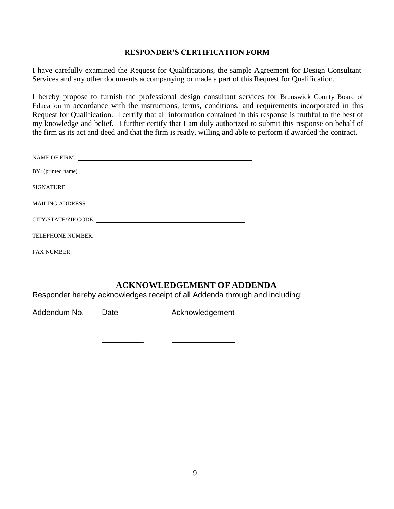# **RESPONDER'S CERTIFICATION FORM**

I have carefully examined the Request for Qualifications, the sample Agreement for Design Consultant Services and any other documents accompanying or made a part of this Request for Qualification.

I hereby propose to furnish the professional design consultant services for Brunswick County Board of Education in accordance with the instructions, terms, conditions, and requirements incorporated in this Request for Qualification. I certify that all information contained in this response is truthful to the best of my knowledge and belief. I further certify that I am duly authorized to submit this response on behalf of the firm as its act and deed and that the firm is ready, willing and able to perform if awarded the contract.

| BY: (printed name) and the state of the state of the state of the state of the state of the state of the state of the state of the state of the state of the state of the state of the state of the state of the state of the  |
|--------------------------------------------------------------------------------------------------------------------------------------------------------------------------------------------------------------------------------|
|                                                                                                                                                                                                                                |
|                                                                                                                                                                                                                                |
|                                                                                                                                                                                                                                |
|                                                                                                                                                                                                                                |
| FAX NUMBER: The Commission of the Commission of the Commission of the Commission of the Commission of the Commission of the Commission of the Commission of the Commission of the Commission of the Commission of the Commissi |

# **ACKNOWLEDGEMENT OF ADDENDA**

Responder hereby acknowledges receipt of all Addenda through and including:

| Addendum No. | Date | Acknowledgement |
|--------------|------|-----------------|
|              |      |                 |
|              |      |                 |
|              |      |                 |
|              |      |                 |